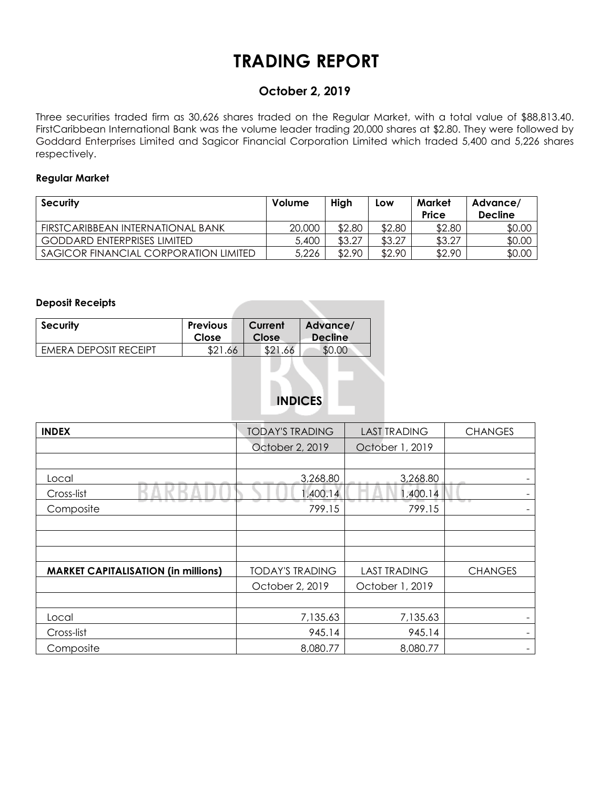# **TRADING REPORT**

### **October 2, 2019**

Three securities traded firm as 30,626 shares traded on the Regular Market, with a total value of \$88,813.40. FirstCaribbean International Bank was the volume leader trading 20,000 shares at \$2.80. They were followed by Goddard Enterprises Limited and Sagicor Financial Corporation Limited which traded 5,400 and 5,226 shares respectively.

### **Regular Market**

| <b>Security</b>                       | Volume | High   | Low    | Market<br>Price | Advance/<br><b>Decline</b> |
|---------------------------------------|--------|--------|--------|-----------------|----------------------------|
| FIRSTCARIBBEAN INTERNATIONAL BANK     | 20,000 | \$2.80 | \$2.80 | \$2.80          | \$0.00                     |
| <b>GODDARD ENTERPRISES LIMITED</b>    | 5,400  | \$3.27 | \$3.27 | \$3.27          | \$0.00                     |
| SAGICOR FINANCIAL CORPORATION LIMITED | 5,226  | \$2.90 | \$2.90 | \$2.90          | \$0.00                     |

#### **Deposit Receipts**

| <b>Security</b>       | <b>Previous</b> | Current | Advance/       |
|-----------------------|-----------------|---------|----------------|
|                       | Close           | Close   | <b>Decline</b> |
| EMERA DEPOSIT RECEIPT | \$21.66         | \$21.66 |                |

## **INDICES**

| <b>INDEX</b>                               | <b>TODAY'S TRADING</b> | <b>LAST TRADING</b> | <b>CHANGES</b>           |
|--------------------------------------------|------------------------|---------------------|--------------------------|
|                                            | October 2, 2019        | October 1, 2019     |                          |
|                                            |                        |                     |                          |
| Local                                      | 3,268.80               | 3,268.80            |                          |
| Cross-list                                 | 1,400.14               | 1,400.14            |                          |
| Composite                                  | 799.15                 | 799.15              |                          |
|                                            |                        |                     |                          |
|                                            |                        |                     |                          |
|                                            |                        |                     |                          |
| <b>MARKET CAPITALISATION (in millions)</b> | <b>TODAY'S TRADING</b> | <b>LAST TRADING</b> | <b>CHANGES</b>           |
|                                            | October 2, 2019        | October 1, 2019     |                          |
|                                            |                        |                     |                          |
| Local                                      | 7,135.63               | 7,135.63            |                          |
| Cross-list                                 | 945.14                 | 945.14              | $\overline{\phantom{0}}$ |
| Composite                                  | 8,080.77               | 8,080.77            |                          |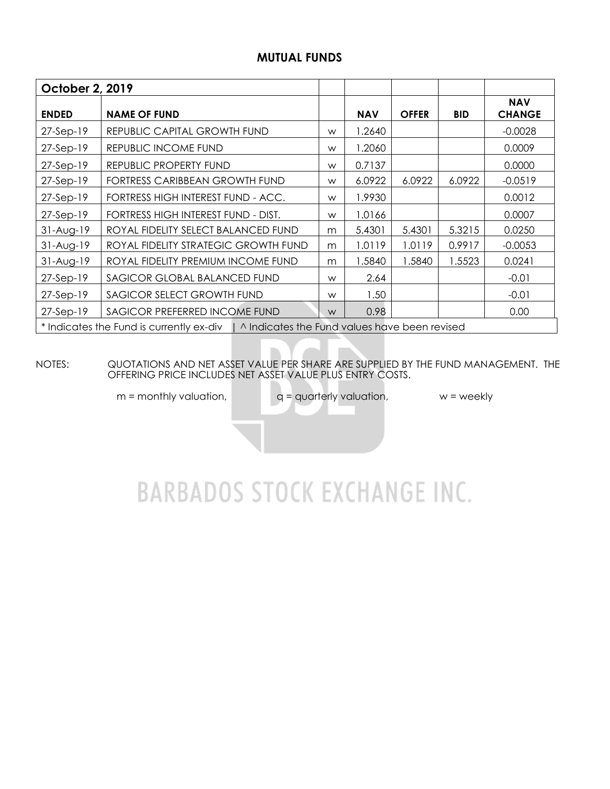### **MUTUAL FUNDS**

| October 2, 2019 |                                                                                          |   |            |              |            |                             |
|-----------------|------------------------------------------------------------------------------------------|---|------------|--------------|------------|-----------------------------|
| <b>ENDED</b>    | <b>NAME OF FUND</b>                                                                      |   | <b>NAV</b> | <b>OFFER</b> | <b>BID</b> | <b>NAV</b><br><b>CHANGE</b> |
| $27-Sep-19$     | REPUBLIC CAPITAL GROWTH FUND                                                             | W | 1.2640     |              |            | $-0.0028$                   |
| $27-Sep-19$     | REPUBLIC INCOME FUND                                                                     | W | 1.2060     |              |            | 0.0009                      |
| $27-Sep-19$     | REPUBLIC PROPERTY FUND                                                                   | W | 0.7137     |              |            | 0.0000                      |
| $27-Sep-19$     | FORTRESS CARIBBEAN GROWTH FUND                                                           | W | 6.0922     | 6.0922       | 6.0922     | $-0.0519$                   |
| $27-Sep-19$     | FORTRESS HIGH INTEREST FUND - ACC.                                                       | W | 1.9930     |              |            | 0.0012                      |
| $27-Sep-19$     | FORTRESS HIGH INTEREST FUND - DIST.                                                      | W | 1.0166     |              |            | 0.0007                      |
| $31-Aug-19$     | ROYAL FIDELITY SELECT BALANCED FUND                                                      | m | 5.4301     | 5.4301       | 5.3215     | 0.0250                      |
| $31-Aug-19$     | ROYAL FIDELITY STRATEGIC GROWTH FUND                                                     | m | 1.0119     | 1.0119       | 0.9917     | $-0.0053$                   |
| $31-Aug-19$     | ROYAL FIDELITY PREMIUM INCOME FUND                                                       | m | 1.5840     | 1.5840       | 1.5523     | 0.0241                      |
| $27-Sep-19$     | SAGICOR GLOBAL BALANCED FUND                                                             | W | 2.64       |              |            | $-0.01$                     |
| $27-Sep-19$     | SAGICOR SELECT GROWTH FUND                                                               | W | 1.50       |              |            | $-0.01$                     |
| $27-Sep-19$     | SAGICOR PREFERRED INCOME FUND                                                            | W | 0.98       |              |            | 0.00                        |
|                 | * Indicates the Fund is currently ex-div   ^ Indicates the Fund values have been revised |   |            |              |            |                             |

NOTES: QUOTATIONS AND NET ASSET VALUE PER SHARE ARE SUPPLIED BY THE FUND MANAGEMENT. THE OFFERING PRICE INCLUDES NET ASSET VALUE PLUS ENTRY COSTS.

 $m =$  monthly valuation,  $q =$  quarterly valuation,  $w =$  weekly

# **BARBADOS STOCK EXCHANGE INC.**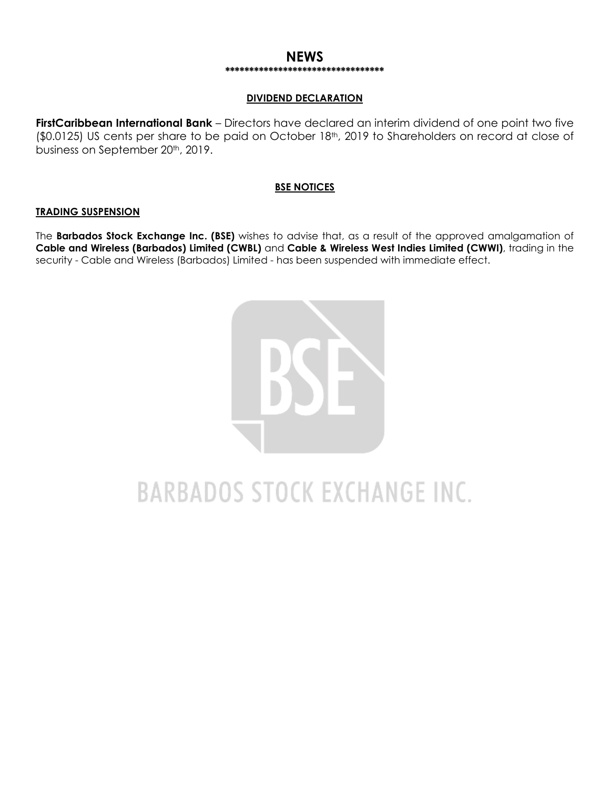### **NEWS \*\*\*\*\*\*\*\*\*\*\*\*\*\*\*\*\*\*\*\*\*\*\*\*\*\*\*\*\*\*\*\*\***

### **DIVIDEND DECLARATION**

**FirstCaribbean International Bank** – Directors have declared an interim dividend of one point two five (\$0.0125) US cents per share to be paid on October 18th, 2019 to Shareholders on record at close of business on September 20<sup>th</sup>, 2019.

### **BSE NOTICES**

#### **TRADING SUSPENSION**

The **Barbados Stock Exchange Inc. (BSE)** wishes to advise that, as a result of the approved amalgamation of **Cable and Wireless (Barbados) Limited (CWBL)** and **Cable & Wireless West Indies Limited (CWWI)**, trading in the security - Cable and Wireless (Barbados) Limited - has been suspended with immediate effect.



# **BARBADOS STOCK EXCHANGE INC.**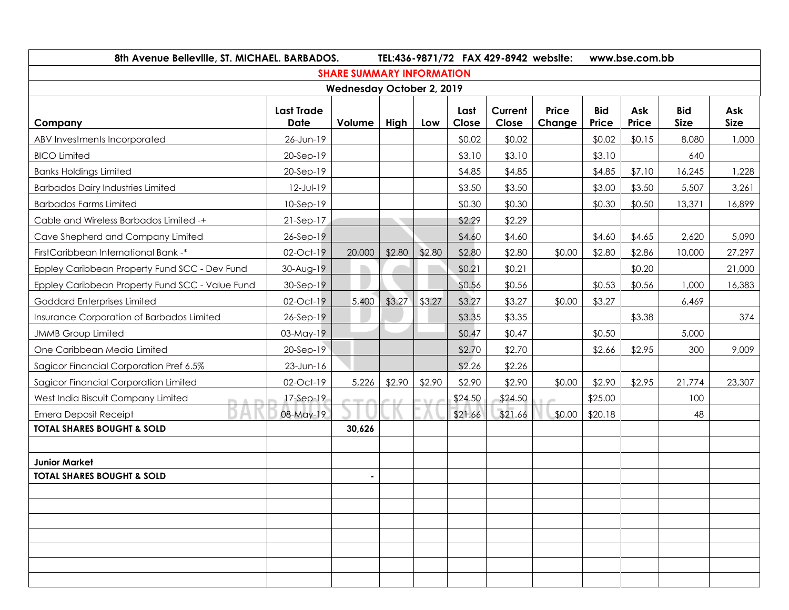| 8th Avenue Belleville, ST. MICHAEL. BARBADOS.   |                           |                                  |        | TEL:436-9871/72 FAX 429-8942 website:<br>www.bse.com.bb |               |                  |                 |                     |              |                           |                    |
|-------------------------------------------------|---------------------------|----------------------------------|--------|---------------------------------------------------------|---------------|------------------|-----------------|---------------------|--------------|---------------------------|--------------------|
|                                                 |                           | <b>SHARE SUMMARY INFORMATION</b> |        |                                                         |               |                  |                 |                     |              |                           |                    |
|                                                 |                           | <b>Wednesday October 2, 2019</b> |        |                                                         |               |                  |                 |                     |              |                           |                    |
| Company                                         | <b>Last Trade</b><br>Date | Volume                           | High   | Low                                                     | Last<br>Close | Current<br>Close | Price<br>Change | <b>Bid</b><br>Price | Ask<br>Price | <b>Bid</b><br><b>Size</b> | Ask<br><b>Size</b> |
| ABV Investments Incorporated                    | 26-Jun-19                 |                                  |        |                                                         | \$0.02        | \$0.02           |                 | \$0.02              | \$0.15       | 8,080                     | 1,000              |
| <b>BICO Limited</b>                             | 20-Sep-19                 |                                  |        |                                                         | \$3.10        | \$3.10           |                 | \$3.10              |              | 640                       |                    |
| <b>Banks Holdings Limited</b>                   | 20-Sep-19                 |                                  |        |                                                         | \$4.85        | \$4.85           |                 | \$4.85              | \$7.10       | 16,245                    | 1,228              |
| <b>Barbados Dairy Industries Limited</b>        | 12-Jul-19                 |                                  |        |                                                         | \$3.50        | \$3.50           |                 | \$3.00              | \$3.50       | 5,507                     | 3,261              |
| <b>Barbados Farms Limited</b>                   | 10-Sep-19                 |                                  |        |                                                         | \$0.30        | \$0.30           |                 | \$0.30              | \$0.50       | 13,371                    | 16,899             |
| Cable and Wireless Barbados Limited -+          | $21-Sep-17$               |                                  |        |                                                         | \$2.29        | \$2.29           |                 |                     |              |                           |                    |
| Cave Shepherd and Company Limited               | 26-Sep-19                 |                                  |        |                                                         | \$4.60        | \$4.60           |                 | \$4.60              | \$4.65       | 2,620                     | 5,090              |
| FirstCaribbean International Bank -*            | 02-Oct-19                 | 20,000                           | \$2.80 | \$2.80                                                  | \$2.80        | \$2.80           | \$0.00          | \$2.80              | \$2.86       | 10,000                    | 27,297             |
| Eppley Caribbean Property Fund SCC - Dev Fund   | 30-Aug-19                 |                                  |        |                                                         | \$0.21        | \$0.21           |                 |                     | \$0.20       |                           | 21,000             |
| Eppley Caribbean Property Fund SCC - Value Fund | 30-Sep-19                 |                                  |        |                                                         | \$0.56        | \$0.56           |                 | \$0.53              | \$0.56       | 1,000                     | 16,383             |
| <b>Goddard Enterprises Limited</b>              | 02-Oct-19                 | 5,400                            | \$3.27 | \$3.27                                                  | \$3.27        | \$3.27           | \$0.00          | \$3.27              |              | 6,469                     |                    |
| Insurance Corporation of Barbados Limited       | 26-Sep-19                 |                                  |        |                                                         | \$3.35        | \$3.35           |                 |                     | \$3.38       |                           | 374                |
| <b>JMMB Group Limited</b>                       | 03-May-19                 |                                  |        |                                                         | \$0.47        | \$0.47           |                 | \$0.50              |              | 5,000                     |                    |
| One Caribbean Media Limited                     | 20-Sep-19                 |                                  |        |                                                         | \$2.70        | \$2.70           |                 | \$2.66              | \$2.95       | 300                       | 9,009              |
| Sagicor Financial Corporation Pref 6.5%         | $23$ -Jun-16              |                                  |        |                                                         | \$2.26        | \$2.26           |                 |                     |              |                           |                    |
| Sagicor Financial Corporation Limited           | 02-Oct-19                 | 5,226                            | \$2.90 | \$2.90                                                  | \$2.90        | \$2.90           | \$0.00          | \$2.90              | \$2.95       | 21,774                    | 23,307             |
| West India Biscuit Company Limited              | $17-Sep-19$               |                                  |        |                                                         | \$24.50       | \$24.50          |                 | \$25.00             |              | 100                       |                    |
| <b>Emera Deposit Receipt</b>                    | 08-May-19                 |                                  |        |                                                         | \$21.66       | \$21.66          | \$0.00          | \$20.18             |              | 48                        |                    |
| <b>TOTAL SHARES BOUGHT &amp; SOLD</b>           |                           | 30,626                           |        |                                                         |               |                  |                 |                     |              |                           |                    |
|                                                 |                           |                                  |        |                                                         |               |                  |                 |                     |              |                           |                    |
| <b>Junior Market</b>                            |                           |                                  |        |                                                         |               |                  |                 |                     |              |                           |                    |
| <b>TOTAL SHARES BOUGHT &amp; SOLD</b>           |                           |                                  |        |                                                         |               |                  |                 |                     |              |                           |                    |
|                                                 |                           |                                  |        |                                                         |               |                  |                 |                     |              |                           |                    |
|                                                 |                           |                                  |        |                                                         |               |                  |                 |                     |              |                           |                    |
|                                                 |                           |                                  |        |                                                         |               |                  |                 |                     |              |                           |                    |
|                                                 |                           |                                  |        |                                                         |               |                  |                 |                     |              |                           |                    |
|                                                 |                           |                                  |        |                                                         |               |                  |                 |                     |              |                           |                    |
|                                                 |                           |                                  |        |                                                         |               |                  |                 |                     |              |                           |                    |